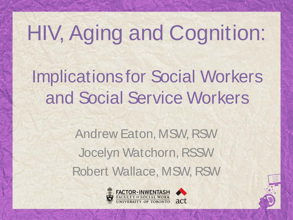## HIV, Aging and Cognition:

Implications for Social Workers and Social Service Workers

> Andrew Eaton, MSW, RSW Jocelyn Watchorn, RSSW Robert Wallace, MSW, RSW



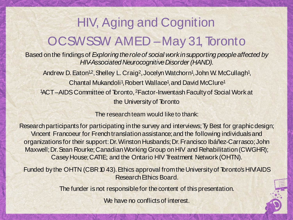### HIV, Aging and Cognition OCSWSSW AMED –May 31, Toronto

Based onthe findingsof *Exploring theroleof social workinsupporting peopleaffected by* **HIV-Associated Neurocognitive Disorder (HAND).** 

Andrew D. Eaton<sup>12</sup>, Shelley L. Craig<sup>2</sup>, Jocelyn Watchorn<sup>1</sup>, John W. McCullagh<sup>1</sup>, Chantal Mukandoli<sup>1</sup>, Robert Wallace<sup>1</sup>, and David McClure<sup>1</sup> 1 ACT–AIDSCommittee of Toronto, 2Factor-InwentashFacultyof Social Workat the University of Toronto

The research team would like to thank:

Research participants for participating in the survey and interviews; Ty Best for graphic design; Vincent Francoeur for French translation assistance; and the following individuals and organizations for their support: Dr. Winston Husbands; Dr. Francisco Ibáñez-Carrasco; John Maxwell; Dr. Sean Rourke; Canadian Working Group on HIV and Rehabilitation (CWGHR); CaseyHouse;CATIE; and the Ontario HIV Treatment Network (OHTN).

Funded by the OHTN (CBR 10 43). Ethics approval from the University of Toronto's HIV/AIDS Research Ethics Board.

The funder is not responsible for the content of this presentation.

We have no conflicts of interest.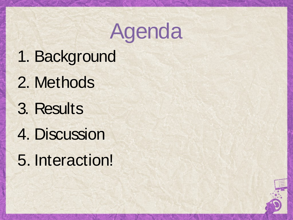## Agenda

- 1. Background
- 2. Methods
- 3. Results
- 4. Discussion
- 5. Interaction!

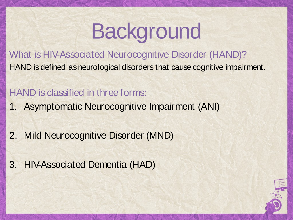What is HIV-Associated Neurocognitive Disorder (HAND)? HAND is defined as neurological disorders that cause cognitive impairment.

#### HAND is classified in three forms:

- 1. Asymptomatic Neurocognitive Impairment (ANI)
- 2. Mild Neurocognitive Disorder (MND)
- 3. HIV-Associated Dementia (HAD)

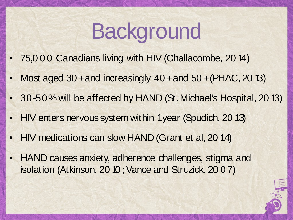- 75,0 0 0 Canadians living with HIV (Challacombe, 20 14)
- Most aged 30 + and increasingly 40 + and 50 + (PHAC, 20 13)
- 30-50% will be affected by HAND (St. Michael's Hospital, 2013)
- HIV enters nervous system within 1 year (Spudich, 2013)
- HIV medications can slow HAND (Grant et al, 20 14)
- HAND causes anxiety, adherence challenges, stigma and isolation (Atkinson, 20 10; Vance and Struzick, 20 0 7)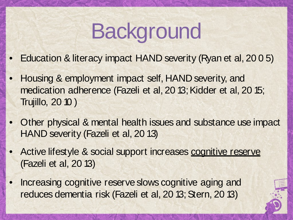- Education & literacy impact HAND severity (Ryan et al, 20 0 5)
- Housing & employment impact self, HAND severity, and medication adherence (Fazeli et al, 20 13; Kidder et al, 20 15; Trujillo, 20 10 )
- Other physical & mental health issues and substance use impact HAND severity (Fazeli et al, 20 13)
- Active lifestyle & social support increases cognitive reserve (Fazeli et al, 20 13)
- Increasing cognitive reserve slows cognitive aging and reduces dementia risk (Fazeli et al, 20 13; Stern, 20 13)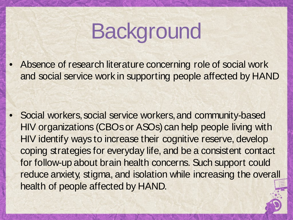• Absence of research literature concerning role of social work and social service work in supporting people affected by HAND

• Social workers, social service workers, and community-based HIV organizations (CBOsor ASOs) can help people living with HIV identify ways to increase their cognitive reserve, develop coping strategies for everyday life, and be a consistent contact for follow-up about brain health concerns. Such support could reduce anxiety, stigma, and isolation while increasing the overall health of people affected by HAND.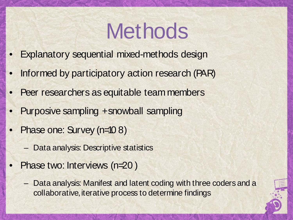## **Methods**

- **Explanatory sequential mixed-methods design**
- Informed by participatory action research (PAR)
- Peer researchers as equitable team members
- Purposive sampling +snowball sampling
- Phase one: Survey (n=10 8)
	- Data analysis: Descriptive statistics
- Phase two: Interviews (n=20)
	- Data analysis: Manifest and latent coding with three coders and a collaborative, iterative process to determine findings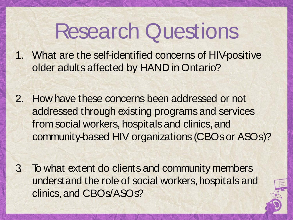## Research Questions

1. What are the self-identified concerns of HIV-positive older adults affected by HAND in Ontario?

- 2. How have these concerns been addressed or not addressed through existing programs and services from social workers, hospitals and clinics, and community-based HIV organizations (CBOsor ASOs)?
- 3. To what extent do clients and community members understand the role of social workers, hospitals and clinics,and CBOs/ASOs?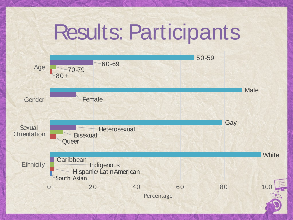## Results: Participants

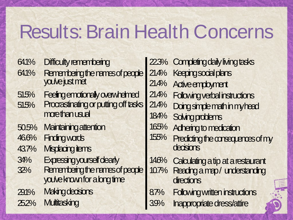### Results:Brain Health Concerns

- 64.1% Difficulty remembering
- 64.1% Remembering the names of people<br>you've just met
- Feeing emotionally overwhelmed  $515%$
- Procrastinating or putting off tasks morethanusual 51.5%
- **Maintaining attention** 50.5%
- **Finding words** 46.6%
- Misplacing tiems 43.7%
- Expressing yourself dearly 34%
- Remembering the names of people you've known for a long time 32%
- **Making decisions** 29.1%
- **Multitasking** 252%

22.3% Completingdailylivingtasks 214% Keepingsocial plans 21.4% 214% 214% 184% Solving problems 16.5% Adheringtomedication 15.5% Active employment **Following verbal instructions Doingsimplemathinmyhead** Predicting the consequences of my decisions Calculating a tip at a restaurant Readingamap/ understanding **directions** Following written instructions Inappropriate dress/attire 146% 10.7% 8.7% 3.9%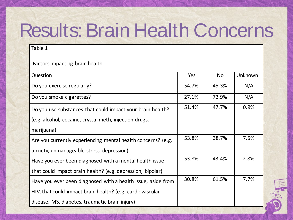## Results:Brain Health Concerns

Table 1

Factorsimpacting brain health

| Question                                                     | Yes   | No.   | Unknown |
|--------------------------------------------------------------|-------|-------|---------|
| Do you exercise regularly?                                   | 54.7% | 45.3% | N/A     |
| Do you smoke cigarettes?                                     | 27.1% | 72.9% | N/A     |
| Do you use substances that could impact your brain health?   | 51.4% | 47.7% | 0.9%    |
| (e.g. alcohol, cocaine, crystal meth, injection drugs,       |       |       |         |
| marijuana)                                                   |       |       |         |
| Are you currently experiencing mental health concerns? (e.g. | 53.8% | 38.7% | 7.5%    |
| anxiety, unmanageable stress, depression)                    |       |       |         |
| Have you ever been diagnosed with a mental health issue      | 53.8% | 43.4% | 2.8%    |
| that could impact brain health? (e.g. depression, bipolar)   |       |       |         |
| Have you ever been diagnosed with a health issue, aside from | 30.8% | 61.5% | 7.7%    |
| HIV, that could impact brain health? (e.g. cardiovascular    |       |       |         |
| disease, MS, diabetes, traumatic brain injury)               |       |       |         |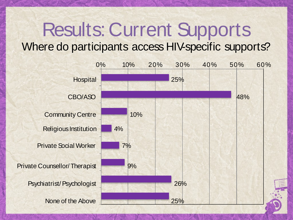### Results:Current Supports Where do participants access HIV-specific supports?

0% 10% 20% 30% 40% 50% 60% Hospital **25%**  $CBO/ASO$  48% Community Centre 10% Religious Institution 4% Private Social Worker 7% Private Counsellor/Therapist Psychiatrist/Psychologist None of the Above 25%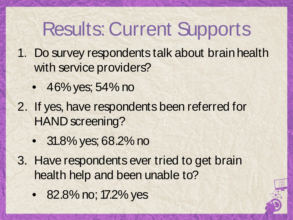### Results:Current Supports

- 1. Do survey respondents talk about brainhealth with service providers?
	- 46% yes; 54% no
- 2. If yes, have respondents been referred for HAND screening?
	- 31.8% yes; 68.2% no
- 3. Have respondents ever tried to get brain health help and been unable to?
	- 82.8% no; 17.2% yes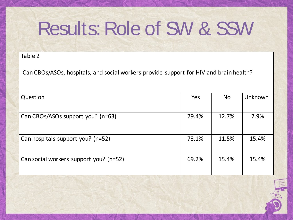#### Table 2

Can CBOs/ASOs, hospitals, and social workers provide support for HIV and brain health?

| Question                               | Yes   | <b>No</b> | Unknown |
|----------------------------------------|-------|-----------|---------|
| Can CBOs/ASOs support you? (n=63)      | 79.4% | 12.7%     | 7.9%    |
| Can hospitals support you? (n=52)      | 73.1% | 11.5%     | 15.4%   |
| Can social workers support you? (n=52) | 69.2% | 15.4%     | 15.4%   |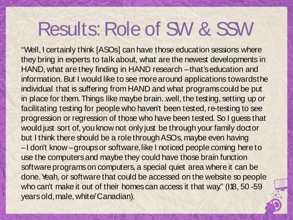"Well, I certainly think [ASOs] can have those education sessions where they bring in experts to talkabout, what are the newest developments in HAND, what are they finding in HAND research –that's education and information. But I would like to see morearound applications towardsthe individual that is suffering from HAND and what programs could be put in place for them.Things like maybe brain…well, the testing, setting up or facilitating testing for people who haven't been tested, re-testing to see progression or regression of those who have been tested. So I guess that would just sort of, you know not only just be through your family doctor but I think there should be a rolethrough ASOs, maybe even having –I don't know –groups or software, like I noticed people coming here to use the computersand maybe they could have those brain function software programs on computers, a special quiet area where it can be done. Yeah, or software that could be accessed on the website so people who can't make it out of their homes can access it that way." (I18, 50 -59) yearsold, male, white/Canadian).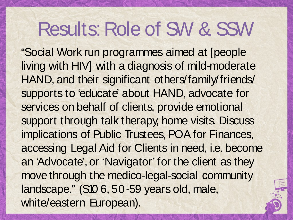"Social Work run programmes aimed at [people living with HIV] with a diagnosis of mild-moderate HAND, and their significant others/family/friends/ supports to 'educate' about HAND, advocate for services on behalf of clients, provide emotional support through talk therapy, home visits. Discuss implications of Public Trustees, POA for Finances, accessing Legal Aid for Clients in need, i.e. become an 'Advocate', or 'Navigator' for the client as they move through the medico-legal-social community landscape." (S10 6, 50-59 years old, male, white/eastern European).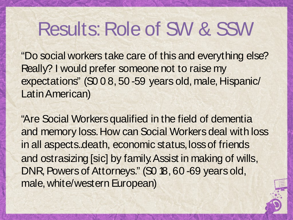"Do social workers take care of this and everything else? Really? I would prefer someone not to raise my expectations" (S0 0 8, 50 -59 years old, male, Hispanic/ LatinAmerican)

"Are Social Workers qualified in the field of dementia and memory loss.How can Social Workers deal with loss in all aspects..death, economic status, loss of friends and ostrasizing [sic] by family.Assist in making of wills, DNR, Powers of Attorneys." (S0 18, 60 -69 years old, male, white/western European)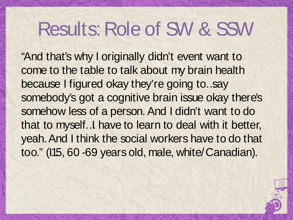"And that's why I originally didn't event want to come to the table to talk about my brain health because I figured okay they're going to…say somebody's got a cognitive brain issue okay there's somehow less of a person. And I didn't want to do that to myself…I have to learn to deal with it better, yeah.And I think the social workers have to do that too." (I15, 60 -69 years old, male, white/Canadian).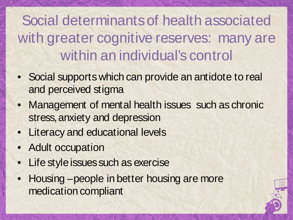Social determinantsof health associated with greater cognitive reserves: many are within an individual's control

- Social supports which can provide an antidote to real and perceived stigma
- Management of mental health issues such as chronic stress, anxiety and depression
- Literacy and educational levels
- Adult occupation
- Life style issues such as exercise
- Housing –people in better housing are more medication compliant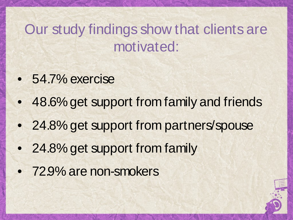### Our study findings show that clients are motivated:

- 54.7% exercise
- 48.6% get support from family and friends
- 24.8% get support from partners/spouse
- 24.8% get support from family
- 72.9% are non-smokers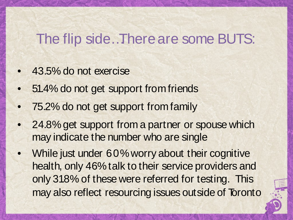#### The flip side…Thereare some BUTS:

- 43.5% do not exercise
- 51.4% do not get support from friends
- 75.2% do not get support from family
- 24.8% get support from a partner or spouse which may indicate the number who are single
- While just under 60% worry about their cognitive health, only 46%talk to their service providers and only 31.8% of these were referred for testing. This may also reflect resourcing issues outside of Toronto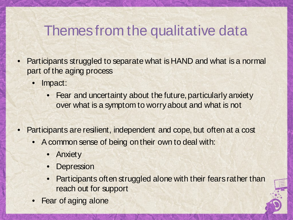### Themes from the qualitative data

- Participants struggled to separate what is HAND and what is a normal part of the aging process
	- Impact:
		- Fear and uncertainty about the future, particularly anxiety over what is a symptom to worryabout and what is not
- Participants are resilient, independent and cope, but often at a cost
	- A common sense of being ontheir own to deal with:
		- Anxiety
		- **Depression**
		- Participants often struggled alone with their fears rather than reach out for support
	- Fear of aging alone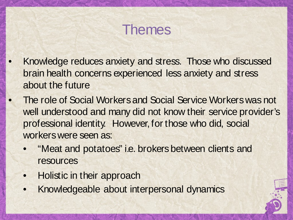### Themes

- Knowledge reduces anxiety and stress. Those who discussed brain health concerns experienced less anxiety and stress about the future
- The role of Social Workersand Social Service Workerswas not well understood and many did not know their service provider's professional identity. However, for those who did, social workers were seen as:
	- "Meat and potatoes" i.e. brokers between clients and resources
	- Holistic in their approach
	- Knowledgeable about interpersonal dynamics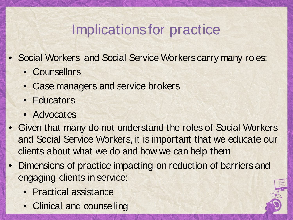### Implications for practice

- Social Workers and Social Service Workers carry many roles:
	- Counsellors
	- Case managers and service brokers
	- **Educators**
	- Advocates
- Given that many do not understand the roles of Social Workers and Social Service Workers, it is important that we educate our clients about what we do and how we can help them
- Dimensions of practice impacting on reduction of barriersand engaging clients in service:
	- Practical assistance
	- Clinical and counselling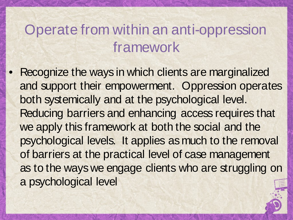### Operate from within an anti-oppression framework

Recognize the ways in which clients are marginalized and support their empowerment. Oppression operates both systemically and at the psychological level. Reducing barriers and enhancing access requires that we apply this framework at both the social and the psychological levels. It applies as much to the removal of barriers at the practical level of case management as to the ways we engage clients who are struggling on a psychological level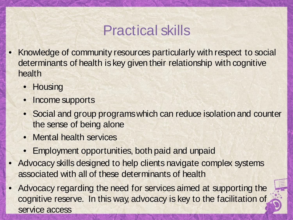### Practical skills

- Knowledge of community resources particularly with respect to social determinants of health is key given their relationship with cognitive health
	- Housing
	- Income supports
	- Social and group programswhich can reduce isolation and counter the sense of being alone
	- Mental health services
	- Employment opportunities, both paid and unpaid
- Advocacy skills designed to help clients navigate complex systems associated with all of these determinants of health
- Advocacy regarding the need for services aimed at supporting the cognitive reserve. In this way, advocacy is key to the facilitation of service access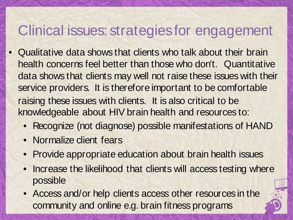#### Clinical issues: strategiesfor engagement

- Qualitative data shows that clients who talk about their brain health concerns feel better than those who don't. Quantitative data shows that clients may well not raise these issues with their service providers. It is therefore important to be comfortable raising these issues with clients. It is also critical to be knowledgeable about HIV brain health and resources to:
	- Recognize (not diagnose) possible manifestations of HAND
	- Normalize client fears
	- Provide appropriate education about brain health issues
	- Increase the likelihood that clients will access testing where possible
	- Access and/or help clients access other resources in the community and online e.g. brain fitness programs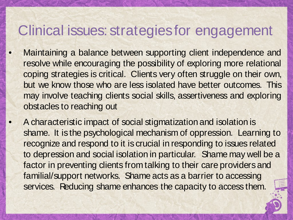#### Clinical issues: strategiesfor engagement

- Maintaining a balance between supporting client independence and resolve while encouraging the possibility of exploring more relational coping strategies is critical. Clients very often struggle on their own, but we know those who are less isolated have better outcomes. This may involve teaching clients social skills, assertiveness and exploring obstacles to reaching out
	- A characteristic impact of social stigmatization and isolation is shame. It is the psychological mechanism of oppression. Learning to recognize and respond to it is crucial in responding to issues related to depression and social isolation in particular. Shame may well be a factor in preventing clients from talking to their care providers and familial/support networks. Shame acts as a barrier to accessing services. Reducing shame enhances the capacity to access them.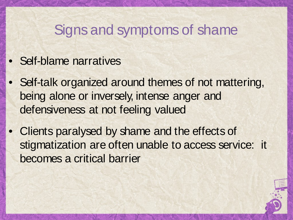#### Signs and symptoms of shame

- Self-blame narratives
- Self-talk organized around themes of not mattering, being alone or inversely, intense anger and defensiveness at not feeling valued
- Clients paralysed by shame and the effects of stigmatization are often unable to access service: it becomes a critical barrier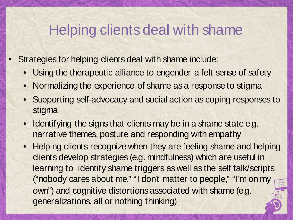#### Helping clients deal with shame

- Strategies for helping clients deal with shame include:
	- Using the therapeutic alliance to engender a felt sense of safety
	- Normalizing the experience of shame as a response to stigma
	- Supporting self-advocacy and social action as coping responses to stigma
	- Identifying the signs that clients may be in a shame state e.g. narrative themes, posture and responding with empathy
	- Helping clients recognize when they are feeling shame and helping clients develop strategies (e.g. mindfulness) which are useful in learning to identify shame triggers as well as the self talk/scripts ("nobody cares about me," "I don't matter to people," "I'm on my own") and cognitive distortions associated with shame (e.g. generalizations, all or nothing thinking)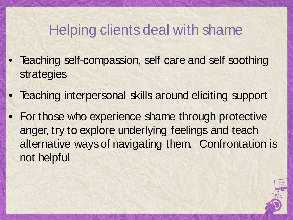### Helping clients deal with shame

- Teaching self-compassion, self care and self soothing strategies
- Teaching interpersonal skills around eliciting support
- For those who experience shame through protective anger, try to explore underlying feelings and teach alternative waysof navigating them. Confrontation is not helpful

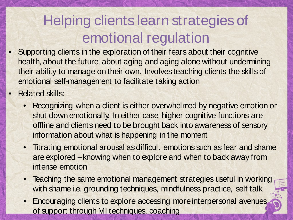### Helping clients learn strategiesof emotional regulation

- Supporting clients in the exploration of their fears about their cognitive health, about the future, about aging and aging alone without undermining their ability to manage on their own. Involves teaching clients the skills of emotional self-management to facilitate taking action
- **Related skills:** 
	- Recognizing when a client is either overwhelmed by negative emotion or shut downemotionally. In either case, higher cognitive functions are offline and clients need to be brought back into awareness of sensory information about what is happening in the moment
	- Titrating emotional arousal as difficult emotions such as fear and shame are explored –knowing when to explore and when to back away from intense emotion
	- Teaching the same emotional management strategies useful in working with shame i.e. grounding techniques, mindfulness practice, self talk
	- Encouraging clients to explore accessing moreinterpersonal avenues of support through MI techniques, coaching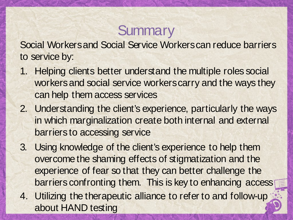### **Summary**

Social Workersand Social Service Workerscan reduce barriers to service by:

- 1. Helping clients better understand the multiple roles social workers and social service workers carry and the ways they can help them access services
- 2. Understanding the client's experience, particularly the ways in which marginalization create both internal and external barriers to accessing service
- 3. Using knowledge of the client's experience to help them overcome the shaming effects of stigmatization and the experience of fear so that they can better challenge the barriers confronting them. This is key to enhancing access
- 4. Utilizing the therapeutic alliance to refer to and follow-up about HAND testing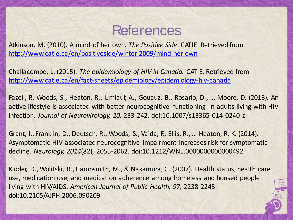#### References

Atkinson, M. (2010). A mind of her own. *The Positive Side*. CATIE. Retrieved from <http://www.catie.ca/en/positiveside/winter-2009/mind-her-own>

Challacombe, L. (2015). *The epidemiology of HIV in Canada.* CATIE. Retrieved from <http://www.catie.ca/en/fact-sheets/epidemiology/epidemiology-hiv-canada>

Fazeli, P., Woods, S., Heaton, R., Umlauf, A., Gouauz, B., Rosario, D., … Moore, D. (2013). An active lifestyle is associated with better neurocognitive functioning in adults living with HIV infection. *Journal of Neurovirology, 20,* 233-242. doi:10.1007/s13365-014-0240-z

Grant, I., Franklin, D., Deutsch, R., Woods, S., Vaida, F., Ellis, R., … Heaton, R. K. (2014). Asymptomatic HIV-associated neurocognitive impairment increases risk for symptomatic decline. *Neurology, 2014*(82), 2055-2062. doi:10.1212/WNL.0000000000000492

Kidder, D., Wolitski, R., Campsmith, M., & Nakamura, G. (2007). Health status, health care use, medication use, and medication adherence among homeless and housed people living with HIV/AIDS. *American Journal of Public Health, 97,* 2238-2245. doi:10.2105/AJPH.2006.090209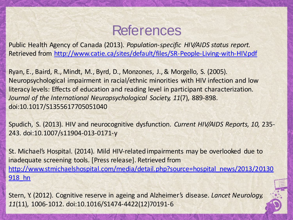#### References

Public Health Agency of Canada (2013). *Population-specific HIV/AIDS status report.* Retrieved from <http://www.catie.ca/sites/default/files/SR-People-Living-with-HIV.pdf>

Ryan, E., Baird, R., Mindt, M., Byrd, D., Monzones, J.,& Morgello, S. (2005). Neuropsychological impairment in racial/ethnic minorities with HIV infection and low literacy levels: Effects of education and reading level in participant characterization. *Journal of the International Neuropsychological Society, 11*(7), 889-898. doi:10.1017/S1355617705051040

Spudich, S. (2013). HIV and neurocognitive dysfunction. *Current HIV/AIDS Reports, 10,* 235- 243. doi:10.1007/s11904-013-0171-y

St. Michael's Hospital. (2014). Mild HIV-related impairments may be overlooked due to inadequate screening tools. [Press release]. Retrieved from http://www.stmichaelshospital.com/media/detail.php?source=hospital\_news/2013/20130 918\_hn

Stern, Y. (2012). Cognitive reserve in ageing and Alzheimer's disease. *Lancet Neurology, 11*(11), 1006-1012. doi:10.1016/S1474-4422(12)70191-6